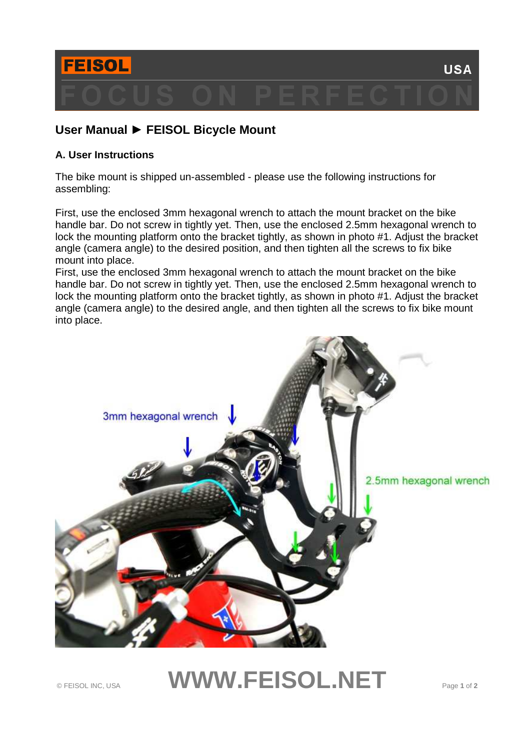

## **User Manual ► FEISOL Bicycle Mount**

### **A. User Instructions**

The bike mount is shipped un-assembled - please use the following instructions for assembling:

First, use the enclosed 3mm hexagonal wrench to attach the mount bracket on the bike handle bar. Do not screw in tightly yet. Then, use the enclosed 2.5mm hexagonal wrench to lock the mounting platform onto the bracket tightly, as shown in photo #1. Adjust the bracket angle (camera angle) to the desired position, and then tighten all the screws to fix bike mount into place.

First, use the enclosed 3mm hexagonal wrench to attach the mount bracket on the bike handle bar. Do not screw in tightly yet. Then, use the enclosed 2.5mm hexagonal wrench to lock the mounting platform onto the bracket tightly, as shown in photo #1. Adjust the bracket angle (camera angle) to the desired angle, and then tighten all the screws to fix bike mount into place.



# © FEISOL INC, USA **WWW.FEISOL.NET** Page **1** of **<sup>2</sup>**